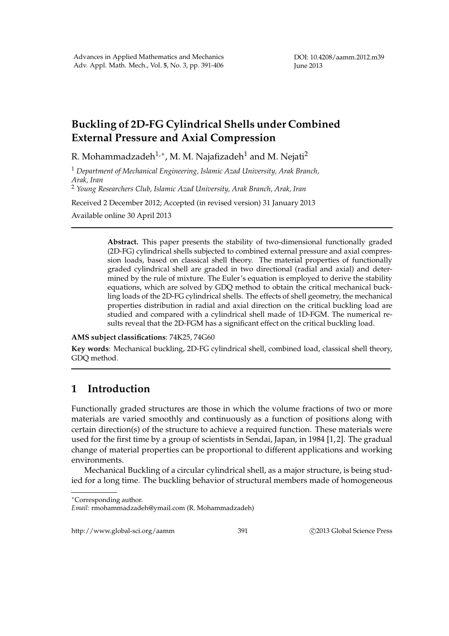## **Buckling of 2D-FG Cylindrical Shells under Combined External Pressure and Axial Compression**

R. Mohammadzadeh $^{1,\ast}$ , M. M. Najafizadeh $^{1}$  and M. Nejati $^{2}$ 

<sup>1</sup> *Department of Mechanical Engineering, Islamic Azad University, Arak Branch, Arak, Iran*

<sup>2</sup> *Young Researchers Club, Islamic Azad University, Arak Branch, Arak, Iran*

Received 2 December 2012; Accepted (in revised version) 31 January 2013

Available online 30 April 2013

**Abstract.** This paper presents the stability of two-dimensional functionally graded (2D-FG) cylindrical shells subjected to combined external pressure and axial compression loads, based on classical shell theory. The material properties of functionally graded cylindrical shell are graded in two directional (radial and axial) and determined by the rule of mixture. The Euler's equation is employed to derive the stability equations, which are solved by GDQ method to obtain the critical mechanical buckling loads of the 2D-FG cylindrical shells. The effects of shell geometry, the mechanical properties distribution in radial and axial direction on the critical buckling load are studied and compared with a cylindrical shell made of 1D-FGM. The numerical results reveal that the 2D-FGM has a significant effect on the critical buckling load.

**AMS subject classifications**: 74K25, 74G60

**Key words**: Mechanical buckling, 2D-FG cylindrical shell, combined load, classical shell theory, GDQ method.

## **1 Introduction**

Functionally graded structures are those in which the volume fractions of two or more materials are varied smoothly and continuously as a function of positions along with certain direction(s) of the structure to achieve a required function. These materials were used for the first time by a group of scientists in Sendai, Japan, in 1984 [1,2]. The gradual change of material properties can be proportional to different applications and working environments.

Mechanical Buckling of a circular cylindrical shell, as a major structure, is being studied for a long time. The buckling behavior of structural members made of homogeneous

http://www.global-sci.org/aamm 391 ©2013 Global Science Press

<sup>∗</sup>Corresponding author.

*Email:* rmohammadzadeh@ymail.com (R. Mohammadzadeh)